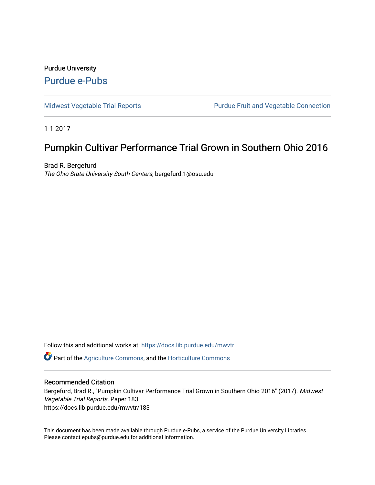# Purdue University [Purdue e-Pubs](https://docs.lib.purdue.edu/)

[Midwest Vegetable Trial Reports](https://docs.lib.purdue.edu/mwvtr) **Purdue Fruit and Vegetable Connection** 

1-1-2017

# Pumpkin Cultivar Performance Trial Grown in Southern Ohio 2016

Brad R. Bergefurd The Ohio State University South Centers, bergefurd.1@osu.edu

Follow this and additional works at: [https://docs.lib.purdue.edu/mwvtr](https://docs.lib.purdue.edu/mwvtr?utm_source=docs.lib.purdue.edu%2Fmwvtr%2F183&utm_medium=PDF&utm_campaign=PDFCoverPages) 

Part of the [Agriculture Commons](http://network.bepress.com/hgg/discipline/1076?utm_source=docs.lib.purdue.edu%2Fmwvtr%2F183&utm_medium=PDF&utm_campaign=PDFCoverPages), and the [Horticulture Commons](http://network.bepress.com/hgg/discipline/105?utm_source=docs.lib.purdue.edu%2Fmwvtr%2F183&utm_medium=PDF&utm_campaign=PDFCoverPages) 

#### Recommended Citation

Bergefurd, Brad R., "Pumpkin Cultivar Performance Trial Grown in Southern Ohio 2016" (2017). Midwest Vegetable Trial Reports. Paper 183. https://docs.lib.purdue.edu/mwvtr/183

This document has been made available through Purdue e-Pubs, a service of the Purdue University Libraries. Please contact epubs@purdue.edu for additional information.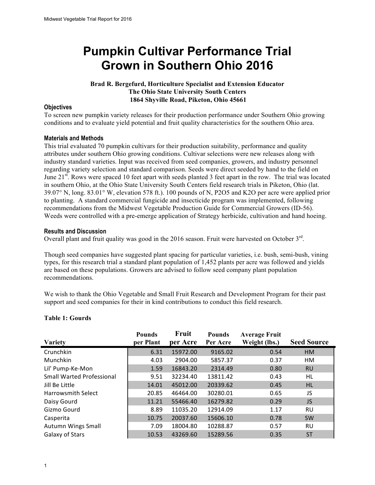# **Grown in Southern Ohio 2016 Pumpkin Cultivar Performance Trial**

#### **Brad R. Bergefurd, Horticulture Specialist and Extension Educator The Ohio State University South Centers 1864 Shyville Road, Piketon, Ohio 45661**

#### **Objectives**

 To screen new pumpkin variety releases for their production performance under Southern Ohio growing conditions and to evaluate yield potential and fruit quality characteristics for the southern Ohio area.

#### **Materials and Methods**

 This trial evaluated 70 pumpkin cultivars for their production suitability, performance and quality attributes under southern Ohio growing conditions. Cultivar selections were new releases along with regarding variety selection and standard comparison. Seeds were direct seeded by hand to the field on June 21<sup>st</sup>. Rows were spaced 10 feet apart with seeds planted 3 feet apart in the row. The trial was located 39.07° N, long. 83.01° W, elevation 578 ft.). 100 pounds of N, P2O5 and K2O per acre were applied prior to planting. A standard commercial fungicide and insecticide program was implemented, following recommendations from the Midwest Vegetable Production Guide for Commercial Growers (ID-56). Weeds were controlled with a pre-emerge application of Strategy herbicide, cultivation and hand hoeing. industry standard varieties. Input was received from seed companies, growers, and industry personnel in southern Ohio, at the Ohio State University South Centers field research trials in Piketon, Ohio (lat.

#### **Results and Discussion**

Overall plant and fruit quality was good in the 2016 season. Fruit were harvested on October  $3<sup>rd</sup>$ .

 Though seed companies have suggested plant spacing for particular varieties, i.e. bush, semi-bush, vining are based on these populations. Growers are advised to follow seed company plant population recommendations. types, for this research trial a standard plant population of 1,452 plants per acre was followed and yields

recommendations.<br>We wish to thank the Ohio Vegetable and Small Fruit Research and Development Program for their past support and seed companies for their in kind contributions to conduct this field research.

| <b>Variety</b>                   | <b>Pounds</b><br>per Plant | Fruit<br>per Acre | <b>Pounds</b><br>Per Acre | <b>Average Fruit</b><br>Weight (lbs.) | <b>Seed Source</b> |
|----------------------------------|----------------------------|-------------------|---------------------------|---------------------------------------|--------------------|
| Crunchkin                        | 6.31                       | 15972.00          | 9165.02                   | 0.54                                  | <b>HM</b>          |
| Munchkin                         | 4.03                       | 2904.00           | 5857.37                   | 0.37                                  | HM                 |
| Lil' Pump-Ke-Mon                 | 1.59                       | 16843.20          | 2314.49                   | 0.80                                  | <b>RU</b>          |
| <b>Small Warted Professional</b> | 9.51                       | 32234.40          | 13811.42                  | 0.43                                  | HL                 |
| Jill Be Little                   | 14.01                      | 45012.00          | 20339.62                  | 0.45                                  | <b>HL</b>          |
| <b>Harrowsmith Select</b>        | 20.85                      | 46464.00          | 30280.01                  | 0.65                                  | JS                 |
| Daisy Gourd                      | 11.21                      | 55466.40          | 16279.82                  | 0.29                                  | JS.                |
| Gizmo Gourd                      | 8.89                       | 11035.20          | 12914.09                  | 1.17                                  | RU                 |
| Casperita                        | 10.75                      | 20037.60          | 15606.10                  | 0.78                                  | <b>SW</b>          |
| Autumn Wings Small               | 7.09                       | 18004.80          | 10288.87                  | 0.57                                  | RU                 |
| Galaxy of Stars                  | 10.53                      | 43269.60          | 15289.56                  | 0.35                                  | <b>ST</b>          |

### **Table 1: Gourds**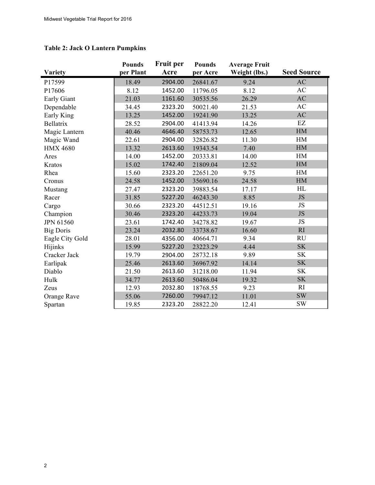#### **Table 2: Jack O Lantern Pumpkins**

|                  | <b>Pounds</b> | <b>Fruit per</b> | <b>Pounds</b> | <b>Average Fruit</b> |                        |
|------------------|---------------|------------------|---------------|----------------------|------------------------|
| <b>Variety</b>   | per Plant     | Acre             | per Acre      | Weight (lbs.)        | <b>Seed Source</b>     |
| P17599           | 18.49         | 2904.00          | 26841.67      | 9.24                 | AC                     |
| P17606           | 8.12          | 1452.00          | 11796.05      | 8.12                 | AC                     |
| Early Giant      | 21.03         | 1161.60          | 30535.56      | 26.29                | $\mathbf{A}\mathbf{C}$ |
| Dependable       | 34.45         | 2323.20          | 50021.40      | 21.53                | AC                     |
| Early King       | 13.25         | 1452.00          | 19241.90      | 13.25                | $\mathbf{A}\mathbf{C}$ |
| Bellatrix        | 28.52         | 2904.00          | 41413.94      | 14.26                | EZ                     |
| Magic Lantern    | 40.46         | 4646.40          | 58753.73      | 12.65                | HM                     |
| Magic Wand       | 22.61         | 2904.00          | 32826.82      | 11.30                | HM                     |
| <b>HMX 4680</b>  | 13.32         | 2613.60          | 19343.54      | 7.40                 | HM                     |
| Ares             | 14.00         | 1452.00          | 20333.81      | 14.00                | HM                     |
| Kratos           | 15.02         | 1742.40          | 21809.04      | 12.52                | HM                     |
| Rhea             | 15.60         | 2323.20          | 22651.20      | 9.75                 | HM                     |
| Cronus           | 24.58         | 1452.00          | 35690.16      | 24.58                | HM                     |
| Mustang          | 27.47         | 2323.20          | 39883.54      | 17.17                | HL                     |
| Racer            | 31.85         | 5227.20          | 46243.30      | 8.85                 | JS                     |
| Cargo            | 30.66         | 2323.20          | 44512.51      | 19.16                | JS                     |
| Champion         | 30.46         | 2323.20          | 44233.73      | 19.04                | $\rm JS$               |
| <b>JPN 61560</b> | 23.61         | 1742.40          | 34278.82      | 19.67                | JS                     |
| <b>Big Doris</b> | 23.24         | 2032.80          | 33738.67      | 16.60                | RI                     |
| Eagle City Gold  | 28.01         | 4356.00          | 40664.71      | 9.34                 | <b>RU</b>              |
| Hijinks          | 15.99         | 5227.20          | 23223.29      | 4.44                 | SK                     |
| Cracker Jack     | 19.79         | 2904.00          | 28732.18      | 9.89                 | <b>SK</b>              |
| Earlipak         | 25.46         | 2613.60          | 36967.92      | 14.14                | <b>SK</b>              |
| Diablo           | 21.50         | 2613.60          | 31218.00      | 11.94                | <b>SK</b>              |
| Hulk             | 34.77         | 2613.60          | 50486.04      | 19.32                | <b>SK</b>              |
| Zeus             | 12.93         | 2032.80          | 18768.55      | 9.23                 | RI                     |
| Orange Rave      | 55.06         | 7260.00          | 79947.12      | 11.01                | <b>SW</b>              |
| Spartan          | 19.85         | 2323.20          | 28822.20      | 12.41                | <b>SW</b>              |